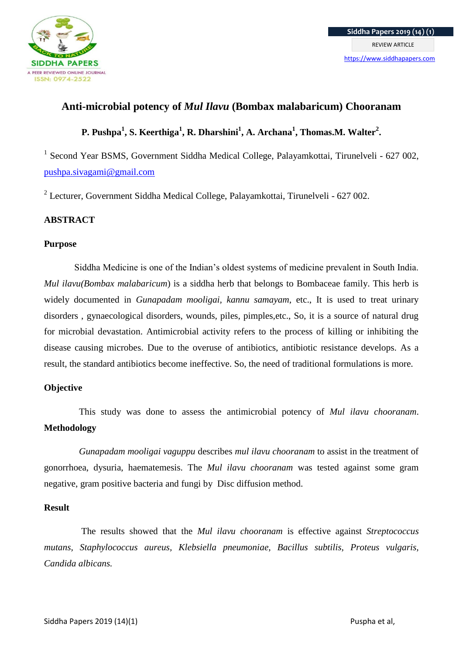

# **Anti-microbial potency of** *Mul Ilavu* **(Bombax malabaricum) Chooranam**

# **P. Pushpa<sup>1</sup> , S. Keerthiga<sup>1</sup> , R. Dharshini<sup>1</sup> , A. Archana<sup>1</sup> , Thomas.M. Walter<sup>2</sup> .**

<sup>1</sup> Second Year BSMS, Government Siddha Medical College, Palayamkottai, Tirunelveli - 627 002, [pushpa.sivagami@gmail.com](mailto:pushpa.sivagami@gmail.com)

<sup>2</sup> Lecturer, Government Siddha Medical College, Palayamkottai, Tirunelveli - 627 002.

## **ABSTRACT**

### **Purpose**

Siddha Medicine is one of the Indian's oldest systems of medicine prevalent in South India. *Mul ilavu(Bombax malabaricum*) is a siddha herb that belongs to Bombaceae family. This herb is widely documented in *Gunapadam mooligai, kannu samayam*, etc., It is used to treat urinary disorders , gynaecological disorders, wounds, piles, pimples,etc., So, it is a source of natural drug for microbial devastation. Antimicrobial activity refers to the process of killing or inhibiting the disease causing microbes. Due to the overuse of antibiotics, antibiotic resistance develops. As a result, the standard antibiotics become ineffective. So, the need of traditional formulations is more.

## **Objective**

This study was done to assess the antimicrobial potency of *Mul ilavu chooranam*. **Methodology**

 *Gunapadam mooligai vaguppu* describes *mul ilavu chooranam* to assist in the treatment of gonorrhoea, dysuria, haematemesis. The *Mul ilavu chooranam* was tested against some gram negative, gram positive bacteria and fungi by Disc diffusion method.

#### **Result**

The results showed that the *Mul ilavu chooranam* is effective against *Streptococcus mutans, Staphylococcus aureus, Klebsiella pneumoniae, Bacillus subtilis, Proteus vulgaris, Candida albicans.*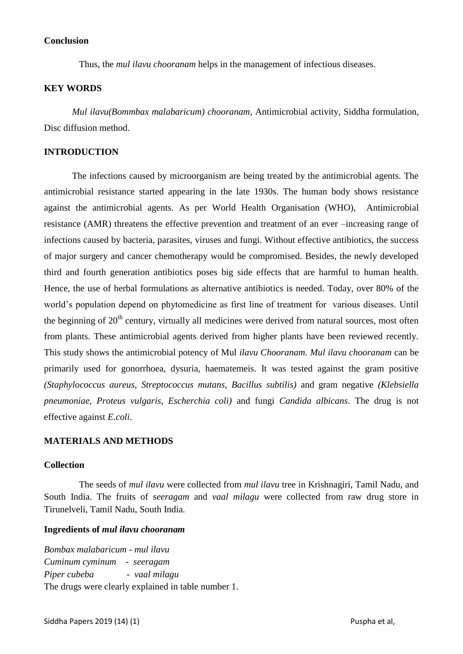#### **Conclusion**

Thus, the *mul ilavu chooranam* helps in the management of infectious diseases.

#### **KEY WORDS**

*Mul ilavu(Bommbax malabaricum) chooranam*, Antimicrobial activity, Siddha formulation, Disc diffusion method.

#### **INTRODUCTION**

The infections caused by microorganism are being treated by the antimicrobial agents. The antimicrobial resistance started appearing in the late 1930s. The human body shows resistance against the antimicrobial agents. As per World Health Organisation (WHO), Antimicrobial resistance (AMR) threatens the effective prevention and treatment of an ever –increasing range of infections caused by bacteria, parasites, viruses and fungi. Without effective antibiotics, the success of major surgery and cancer chemotherapy would be compromised. Besides, the newly developed third and fourth generation antibiotics poses big side effects that are harmful to human health. Hence, the use of herbal formulations as alternative antibiotics is needed. Today, over 80% of the world's population depend on phytomedicine as first line of treatment for various diseases. Until the beginning of  $20<sup>th</sup>$  century, virtually all medicines were derived from natural sources, most often from plants. These antimicrobial agents derived from higher plants have been reviewed recently. This study shows the antimicrobial potency of Mul *ilavu Chooranam. Mul ilavu chooranam* can be primarily used for gonorrhoea, dysuria, haematemeis. It was tested against the gram positive *(Staphylococcus aureus, Streptococcus mutans, Bacillus subtilis)* and gram negative *(Klebsiella pneumoniae, Proteus vulgaris, Escherchia coli)* and fungi *Candida albicans*. The drug is not effective against *E.coli*.

#### **MATERIALS AND METHODS**

#### **Collection**

 The seeds of *mul ilavu* were collected from *mul ilavu* tree in Krishnagiri, Tamil Nadu, and South India. The fruits of *seeragam* and *vaal milagu* were collected from raw drug store in Tirunelveli, Tamil Nadu, South India.

#### **Ingredients of** *mul ilavu chooranam*

*Bombax malabaricum* - *mul ilavu Cuminum cyminum* - *seeragam Piper cubeba - vaal milagu* The drugs were clearly explained in table number 1.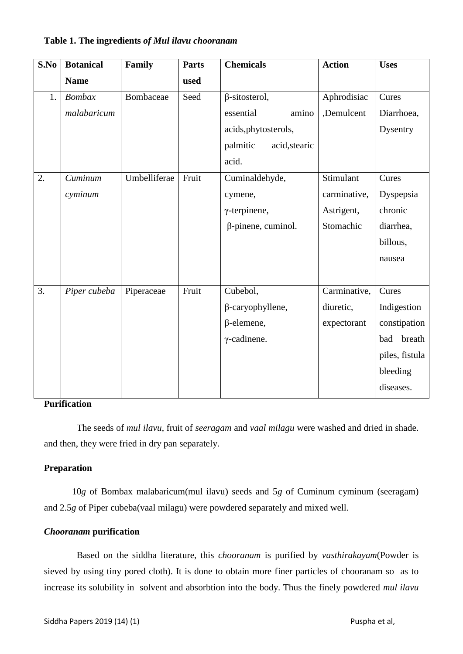#### **S.No Botanical Name Family Parts used Chemicals Action Uses** 1. *Bombax malabaricum* Bombaceae Seed  $\beta$ -sitosterol, essential amino acids,phytosterols, palmitic acid,stearic acid. Aphrodisiac ,Demulcent Cures Diarrhoea, **Dysentry** 2. *Cuminum cyminum* Umbelliferae Fruit Cuminaldehyde, cymene, γ-terpinene, β-pinene, cuminol. Stimulant carminative, Astrigent, Stomachic Cures Dyspepsia chronic diarrhea, billous, nausea 3. *Piper cubeba* Piperaceae Fruit Cubebol, β-caryophyllene, β-elemene, γ-cadinene. Carminative, diuretic, expectorant Cures Indigestion constipation bad breath piles, fistula bleeding diseases.

### **Table 1. The ingredients** *of Mul ilavu chooranam*

#### **Purification**

 The seeds of *mul ilavu*, fruit of *seeragam* and *vaal milagu* were washed and dried in shade. and then, they were fried in dry pan separately.

#### **Preparation**

10*g* of Bombax malabaricum(mul ilavu) seeds and 5*g* of Cuminum cyminum (seeragam) and 2.5*g* of Piper cubeba(vaal milagu) were powdered separately and mixed well.

#### *Chooranam* **purification**

Based on the siddha literature, this *chooranam* is purified by *vasthirakayam*(Powder is sieved by using tiny pored cloth). It is done to obtain more finer particles of chooranam so as to increase its solubility in solvent and absorbtion into the body. Thus the finely powdered *mul ilavu*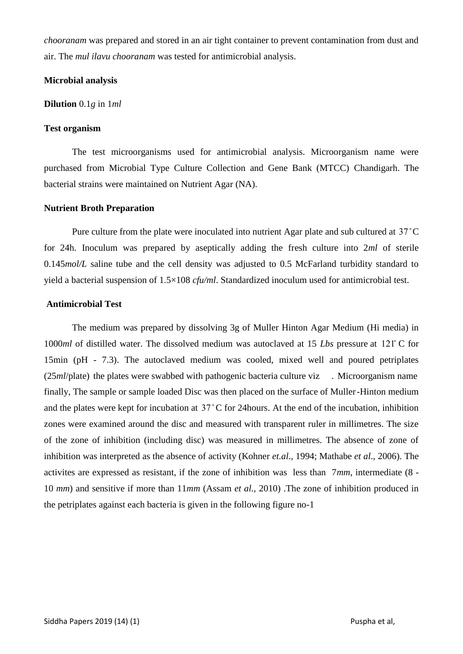*chooranam* was prepared and stored in an air tight container to prevent contamination from dust and air. The *mul ilavu chooranam* was tested for antimicrobial analysis.

#### **Microbial analysis**

#### **Dilution** 0.1*g* in 1*ml*

#### **Test organism**

The test microorganisms used for antimicrobial analysis. Microorganism name were purchased from Microbial Type Culture Collection and Gene Bank (MTCC) Chandigarh. The bacterial strains were maintained on Nutrient Agar (NA).

### **Nutrient Broth Preparation**

Pure culture from the plate were inoculated into nutrient Agar plate and sub cultured at 37 ̊C for 24h. Inoculum was prepared by aseptically adding the fresh culture into 2*ml* of sterile 0.145*mol/L* saline tube and the cell density was adjusted to 0.5 McFarland turbidity standard to yield a bacterial suspension of 1.5×108 *cfu/ml*. Standardized inoculum used for antimicrobial test.

### **Antimicrobial Test**

The medium was prepared by dissolving 3g of Muller Hinton Agar Medium (Hi media) in 1000*ml* of distilled water. The dissolved medium was autoclaved at 15 *Lbs* pressure at 121̊ C for 15min (pH - 7.3). The autoclaved medium was cooled, mixed well and poured petriplates (25*ml*/plate) the plates were swabbed with pathogenic bacteria culture viz . Microorganism name finally, The sample or sample loaded Disc was then placed on the surface of Muller-Hinton medium and the plates were kept for incubation at 37 ̊C for 24hours. At the end of the incubation, inhibition zones were examined around the disc and measured with transparent ruler in millimetres. The size of the zone of inhibition (including disc) was measured in millimetres. The absence of zone of inhibition was interpreted as the absence of activity (Kohner *et.al*., 1994; Mathabe *et al*., 2006). The activites are expressed as resistant, if the zone of inhibition was less than 7*mm*, intermediate (8 - 10 *mm*) and sensitive if more than 11*mm* (Assam *et al.,* 2010) .The zone of inhibition produced in the petriplates against each bacteria is given in the following figure no-1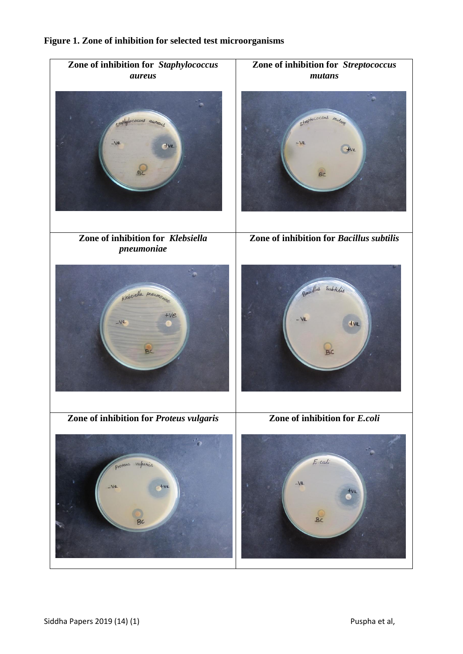

## **Figure 1. Zone of inhibition for selected test microorganisms**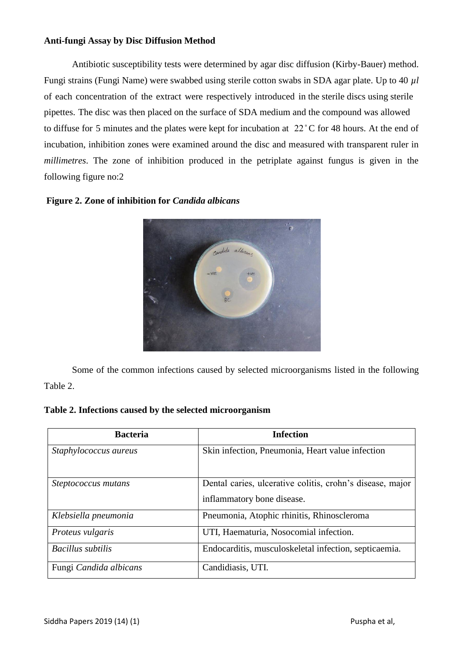#### **Anti-fungi Assay by Disc Diffusion Method**

Antibiotic susceptibility tests were determined by agar disc diffusion (Kirby-Bauer) method. Fungi strains (Fungi Name) were swabbed using sterile cotton swabs in SDA agar plate. Up to 40 *µl* of each concentration of the extract were respectively introduced in the sterile discs using sterile pipettes. The disc was then placed on the surface of SDA medium and the compound was allowed to diffuse for 5 minutes and the plates were kept for incubation at 22 ̊C for 48 hours. At the end of incubation, inhibition zones were examined around the disc and measured with transparent ruler in *millimetres*. The zone of inhibition produced in the petriplate against fungus is given in the following figure no:2



### **Figure 2. Zone of inhibition for** *Candida albicans*

 Some of the common infections caused by selected microorganisms listed in the following Table 2.

#### **Table 2. Infections caused by the selected microorganism**

| <b>Bacteria</b>          | <b>Infection</b>                                                                        |  |  |  |
|--------------------------|-----------------------------------------------------------------------------------------|--|--|--|
| Staphylococcus aureus    | Skin infection, Pneumonia, Heart value infection                                        |  |  |  |
| Steptococcus mutans      | Dental caries, ulcerative colitis, crohn's disease, major<br>inflammatory bone disease. |  |  |  |
| Klebsiella pneumonia     | Pneumonia, Atophic rhinitis, Rhinoscleroma                                              |  |  |  |
| Proteus vulgaris         | UTI, Haematuria, Nosocomial infection.                                                  |  |  |  |
| <b>Bacillus</b> subtilis | Endocarditis, musculoskeletal infection, septicaemia.                                   |  |  |  |
| Fungi Candida albicans   | Candidiasis, UTI.                                                                       |  |  |  |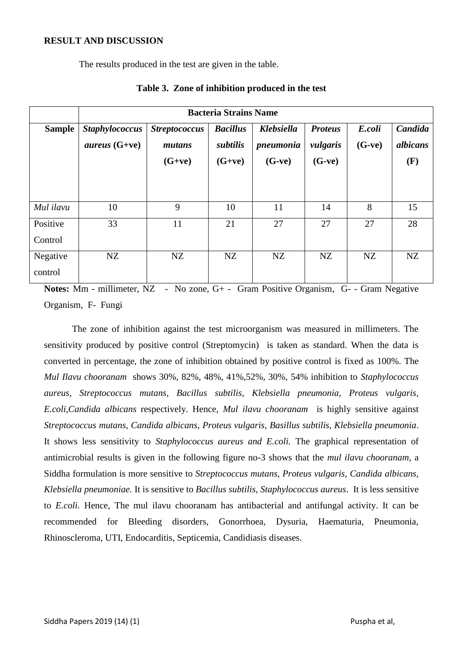#### **RESULT AND DISCUSSION**

The results produced in the test are given in the table.

|                     | <b>Bacteria Strains Name</b>                    |                                            |                                         |                                            |                                        |                    |                            |  |  |
|---------------------|-------------------------------------------------|--------------------------------------------|-----------------------------------------|--------------------------------------------|----------------------------------------|--------------------|----------------------------|--|--|
| <b>Sample</b>       | <b>Staphylococcus</b><br><i>aureus</i> $(G+ve)$ | <b>Streptococcus</b><br>mutans<br>$(G+ve)$ | <b>Bacillus</b><br>subtilis<br>$(G+ve)$ | <b>Klebsiella</b><br>pneumonia<br>$(G-ve)$ | <b>Proteus</b><br>vulgaris<br>$(G-ve)$ | E.coli<br>$(G-ve)$ | Candida<br>albicans<br>(F) |  |  |
| Mul ilavu           | 10                                              | 9                                          | 10                                      | 11                                         | 14                                     | 8                  |                            |  |  |
|                     |                                                 |                                            |                                         |                                            |                                        |                    | 15                         |  |  |
| Positive<br>Control | 33                                              | 11                                         | 21                                      | 27                                         | 27                                     | 27                 | 28                         |  |  |
| Negative<br>control | NZ                                              | NZ                                         | NZ                                      | NZ                                         | NZ                                     | NZ                 | NZ                         |  |  |

#### **Table 3. Zone of inhibition produced in the test**

**Notes:** Mm - millimeter, NZ - No zone, G+ - Gram Positive Organism, G- - Gram Negative Organism, F- Fungi

The zone of inhibition against the test microorganism was measured in millimeters. The sensitivity produced by positive control (Streptomycin) is taken as standard. When the data is converted in percentage, the zone of inhibition obtained by positive control is fixed as 100%. The *Mul Ilavu chooranam* shows 30%, 82%, 48%, 41%,52%, 30%, 54% inhibition to *Staphylococcus aureus, Streptococcus mutans, Bacillus subtilis, Klebsiella pneumonia, Proteus vulgaris, E.coli,Candida albicans* respectively. Hence*, Mul ilavu chooranam* is highly sensitive against *Streptococcus mutans, Candida albicans, Proteus vulgaris, Basillus subtilis, Klebsiella pneumonia*. It shows less sensitivity to *Staphylococcus aureus and E.coli.* The graphical representation of antimicrobial results is given in the following figure no-3 shows that the *mul ilavu chooranam*, a Siddha formulation is more sensitive to *Streptococcus mutans, Proteus vulgaris, Candida albicans, Klebsiella pneumoniae.* It is sensitive to *Bacillus subtilis, Staphylococcus aureus*. It is less sensitive to *E.coli.* Hence, The mul ilavu chooranam has antibacterial and antifungal activity. It can be recommended for Bleeding disorders, Gonorrhoea, Dysuria, Haematuria, Pneumonia, Rhinoscleroma, UTI, Endocarditis, Septicemia, Candidiasis diseases.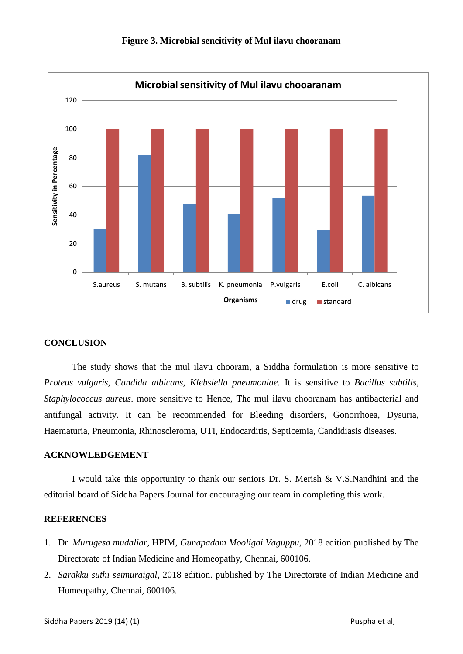

#### **Figure 3. Microbial sencitivity of Mul ilavu chooranam**

#### **CONCLUSION**

The study shows that the mul ilavu chooram, a Siddha formulation is more sensitive to *Proteus vulgaris, Candida albicans, Klebsiella pneumoniae.* It is sensitive to *Bacillus subtilis, Staphylococcus aureus*. more sensitive to Hence, The mul ilavu chooranam has antibacterial and antifungal activity. It can be recommended for Bleeding disorders, Gonorrhoea, Dysuria, Haematuria, Pneumonia, Rhinoscleroma, UTI, Endocarditis, Septicemia, Candidiasis diseases.

#### **ACKNOWLEDGEMENT**

I would take this opportunity to thank our seniors Dr. S. Merish & V.S.Nandhini and the editorial board of Siddha Papers Journal for encouraging our team in completing this work.

#### **REFERENCES**

- 1. Dr. *Murugesa mudaliar*, HPIM, *Gunapadam Mooligai Vaguppu*, 2018 edition published by The Directorate of Indian Medicine and Homeopathy, Chennai, 600106.
- 2. *Sarakku suthi seimuraigal*, 2018 edition. published by The Directorate of Indian Medicine and Homeopathy, Chennai, 600106.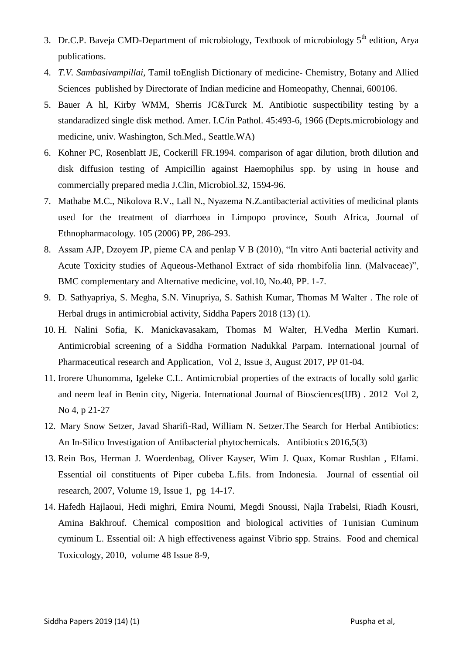- 3. Dr.C.P. Baveja CMD-Department of microbiology, Textbook of microbiology  $5<sup>th</sup>$  edition, Arya publications.
- 4. *T.V. Sambasivampillai,* Tamil toEnglish Dictionary of medicine- Chemistry, Botany and Allied Sciences published by Directorate of Indian medicine and Homeopathy, Chennai, 600106.
- 5. Bauer A hl, Kirby WMM, Sherris JC&Turck M. Antibiotic suspectibility testing by a standaradized single disk method. Amer. I.C/in Pathol. 45:493-6, 1966 (Depts.microbiology and medicine, univ. Washington, Sch.Med., Seattle.WA)
- 6. Kohner PC, Rosenblatt JE, Cockerill FR.1994. comparison of agar dilution, broth dilution and disk diffusion testing of Ampicillin against Haemophilus spp. by using in house and commercially prepared media J.Clin, Microbiol.32, 1594-96.
- 7. Mathabe M.C., Nikolova R.V., Lall N., Nyazema N.Z.antibacterial activities of medicinal plants used for the treatment of diarrhoea in Limpopo province, South Africa, Journal of Ethnopharmacology. 105 (2006) PP, 286-293.
- 8. Assam AJP, Dzoyem JP, pieme CA and penlap V B (2010), "In vitro Anti bacterial activity and Acute Toxicity studies of Aqueous-Methanol Extract of sida rhombifolia linn. (Malvaceae)", BMC complementary and Alternative medicine, vol.10, No.40, PP. 1-7.
- 9. D. Sathyapriya, S. Megha, S.N. Vinupriya, S. Sathish Kumar, Thomas M Walter . The role of Herbal drugs in antimicrobial activity, Siddha Papers 2018 (13) (1).
- 10. H. Nalini Sofia, K. Manickavasakam, Thomas M Walter, H.Vedha Merlin Kumari. Antimicrobial screening of a Siddha Formation Nadukkal Parpam. International journal of Pharmaceutical research and Application, Vol 2, Issue 3, August 2017, PP 01-04.
- 11. Irorere Uhunomma, Igeleke C.L. Antimicrobial properties of the extracts of locally sold garlic and neem leaf in Benin city, Nigeria. International Journal of Biosciences(IJB) . 2012 Vol 2, No 4, p 21-27
- 12. Mary Snow Setzer, Javad Sharifi-Rad, William N. Setzer.The Search for Herbal Antibiotics: An In-Silico Investigation of Antibacterial phytochemicals. Antibiotics 2016,5(3)
- 13. Rein Bos, Herman J. Woerdenbag, Oliver Kayser, Wim J. Quax, Komar Rushlan , Elfami. Essential oil constituents of Piper cubeba L.fils. from Indonesia. Journal of essential oil research, 2007, Volume 19, Issue 1, pg 14-17.
- 14. Hafedh Hajlaoui, Hedi mighri, Emira Noumi, Megdi Snoussi, Najla Trabelsi, Riadh Kousri, Amina Bakhrouf. Chemical composition and biological activities of Tunisian Cuminum cyminum L. Essential oil: A high effectiveness against Vibrio spp. Strains. Food and chemical Toxicology, 2010, volume 48 Issue 8-9,